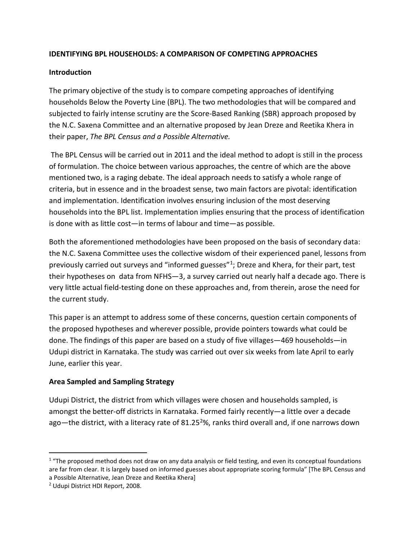# **IDENTIFYING BPL HOUSEHOLDS: A COMPARISON OF COMPETING APPROACHES**

# **Introduction**

The primary objective of the study is to compare competing approaches of identifying households Below the Poverty Line (BPL). The two methodologies that will be compared and subjected to fairly intense scrutiny are the Score-Based Ranking (SBR) approach proposed by the N.C. Saxena Committee and an alternative proposed by Jean Dreze and Reetika Khera in their paper, *The BPL Census and a Possible Alternative.*

The BPL Census will be carried out in 2011 and the ideal method to adopt is still in the process of formulation. The choice between various approaches, the centre of which are the above mentioned two, is a raging debate. The ideal approach needs to satisfy a whole range of criteria, but in essence and in the broadest sense, two main factors are pivotal: identification and implementation. Identification involves ensuring inclusion of the most deserving households into the BPL list. Implementation implies ensuring that the process of identification is done with as little cost—in terms of labour and time—as possible.

Both the aforementioned methodologies have been proposed on the basis of secondary data: the N.C. Saxena Committee uses the collective wisdom of their experienced panel, lessons from previously carried out surveys and "informed guesses"[1](#page-0-0); Dreze and Khera, for their part, test their hypotheses on data from NFHS—3, a survey carried out nearly half a decade ago. There is very little actual field-testing done on these approaches and, from therein, arose the need for the current study.

This paper is an attempt to address some of these concerns, question certain components of the proposed hypotheses and wherever possible, provide pointers towards what could be done. The findings of this paper are based on a study of five villages—469 households—in Udupi district in Karnataka. The study was carried out over six weeks from late April to early June, earlier this year.

# **Area Sampled and Sampling Strategy**

Udupi District, the district from which villages were chosen and households sampled, is amongst the better-off districts in Karnataka. Formed fairly recently—a little over a decade ago—the district, with a literacy rate of 81.25<sup>2</sup>%, ranks third overall and, if one narrows down

<span id="page-0-0"></span> $1$  "The proposed method does not draw on any data analysis or field testing, and even its conceptual foundations are far from clear. It is largely based on informed guesses about appropriate scoring formula" [The BPL Census and a Possible Alternative, Jean Dreze and Reetika Khera]

<span id="page-0-1"></span><sup>2</sup> Udupi District HDI Report, 2008.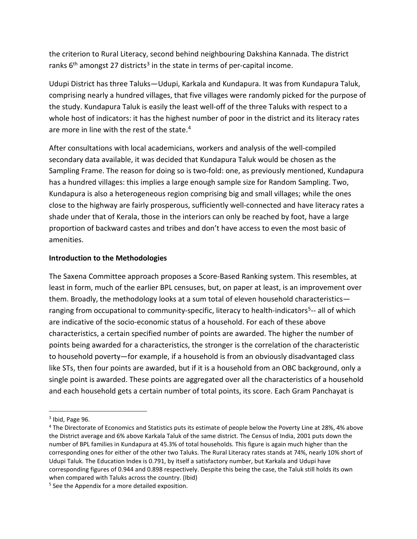the criterion to Rural Literacy, second behind neighbouring Dakshina Kannada. The district ranks  $6<sup>th</sup>$  amongst 27 districts<sup>[3](#page-1-0)</sup> in the state in terms of per-capital income.

Udupi District has three Taluks—Udupi, Karkala and Kundapura. It was from Kundapura Taluk, comprising nearly a hundred villages, that five villages were randomly picked for the purpose of the study. Kundapura Taluk is easily the least well-off of the three Taluks with respect to a whole host of indicators: it has the highest number of poor in the district and its literacy rates are more in line with the rest of the state.<sup>4</sup>

After consultations with local academicians, workers and analysis of the well-compiled secondary data available, it was decided that Kundapura Taluk would be chosen as the Sampling Frame. The reason for doing so is two-fold: one, as previously mentioned, Kundapura has a hundred villages: this implies a large enough sample size for Random Sampling. Two, Kundapura is also a heterogeneous region comprising big and small villages; while the ones close to the highway are fairly prosperous, sufficiently well-connected and have literacy rates a shade under that of Kerala, those in the interiors can only be reached by foot, have a large proportion of backward castes and tribes and don't have access to even the most basic of amenities.

### **Introduction to the Methodologies**

The Saxena Committee approach proposes a Score-Based Ranking system. This resembles, at least in form, much of the earlier BPL censuses, but, on paper at least, is an improvement over them. Broadly, the methodology looks at a sum total of eleven household characteristics ranging from occupational to community-specific, literacy to health-indicators<sup>5</sup>-- all of which are indicative of the socio-economic status of a household. For each of these above characteristics, a certain specified number of points are awarded. The higher the number of points being awarded for a characteristics, the stronger is the correlation of the characteristic to household poverty—for example, if a household is from an obviously disadvantaged class like STs, then four points are awarded, but if it is a household from an OBC background, only a single point is awarded. These points are aggregated over all the characteristics of a household and each household gets a certain number of total points, its score. Each Gram Panchayat is

<span id="page-1-0"></span> $3$  Ibid, Page 96.

<span id="page-1-1"></span><sup>4</sup> The Directorate of Economics and Statistics puts its estimate of people below the Poverty Line at 28%, 4% above the District average and 6% above Karkala Taluk of the same district. The Census of India, 2001 puts down the number of BPL families in Kundapura at 45.3% of total households. This figure is again much higher than the corresponding ones for either of the other two Taluks. The Rural Literacy rates stands at 74%, nearly 10% short of Udupi Taluk. The Education Index is 0.791, by itself a satisfactory number, but Karkala and Udupi have corresponding figures of 0.944 and 0.898 respectively. Despite this being the case, the Taluk still holds its own when compared with Taluks across the country. (Ibid)

<span id="page-1-2"></span><sup>&</sup>lt;sup>5</sup> See the Appendix for a more detailed exposition.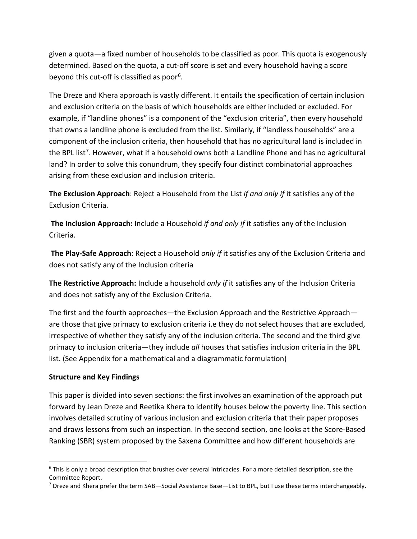given a quota—a fixed number of households to be classified as poor. This quota is exogenously determined. Based on the quota, a cut-off score is set and every household having a score beyond this cut-off is classified as poor[6](#page-2-0).

The Dreze and Khera approach is vastly different. It entails the specification of certain inclusion and exclusion criteria on the basis of which households are either included or excluded. For example, if "landline phones" is a component of the "exclusion criteria", then every household that owns a landline phone is excluded from the list. Similarly, if "landless households" are a component of the inclusion criteria, then household that has no agricultural land is included in the BPL list<sup>[7](#page-2-1)</sup>. However, what if a household owns both a Landline Phone and has no agricultural land? In order to solve this conundrum, they specify four distinct combinatorial approaches arising from these exclusion and inclusion criteria.

**The Exclusion Approach**: Reject a Household from the List *if and only if* it satisfies any of the Exclusion Criteria.

**The Inclusion Approach:** Include a Household *if and only if* it satisfies any of the Inclusion Criteria.

**The Play-Safe Approach**: Reject a Household *only if* it satisfies any of the Exclusion Criteria and does not satisfy any of the Inclusion criteria

**The Restrictive Approach:** Include a household *only if* it satisfies any of the Inclusion Criteria and does not satisfy any of the Exclusion Criteria.

The first and the fourth approaches—the Exclusion Approach and the Restrictive Approach are those that give primacy to exclusion criteria i.e they do not select houses that are excluded, irrespective of whether they satisfy any of the inclusion criteria. The second and the third give primacy to inclusion criteria—they include *all* houses that satisfies inclusion criteria in the BPL list. (See Appendix for a mathematical and a diagrammatic formulation)

# **Structure and Key Findings**

This paper is divided into seven sections: the first involves an examination of the approach put forward by Jean Dreze and Reetika Khera to identify houses below the poverty line. This section involves detailed scrutiny of various inclusion and exclusion criteria that their paper proposes and draws lessons from such an inspection. In the second section, one looks at the Score-Based Ranking (SBR) system proposed by the Saxena Committee and how different households are

<span id="page-2-0"></span> $6$  This is only a broad description that brushes over several intricacies. For a more detailed description, see the Committee Report.

<span id="page-2-1"></span> $7$  Dreze and Khera prefer the term SAB—Social Assistance Base—List to BPL, but I use these terms interchangeably.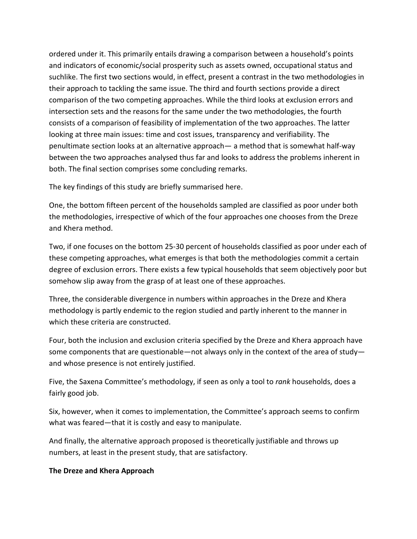ordered under it. This primarily entails drawing a comparison between a household's points and indicators of economic/social prosperity such as assets owned, occupational status and suchlike. The first two sections would, in effect, present a contrast in the two methodologies in their approach to tackling the same issue. The third and fourth sections provide a direct comparison of the two competing approaches. While the third looks at exclusion errors and intersection sets and the reasons for the same under the two methodologies, the fourth consists of a comparison of feasibility of implementation of the two approaches. The latter looking at three main issues: time and cost issues, transparency and verifiability. The penultimate section looks at an alternative approach— a method that is somewhat half-way between the two approaches analysed thus far and looks to address the problems inherent in both. The final section comprises some concluding remarks.

The key findings of this study are briefly summarised here.

One, the bottom fifteen percent of the households sampled are classified as poor under both the methodologies, irrespective of which of the four approaches one chooses from the Dreze and Khera method.

Two, if one focuses on the bottom 25-30 percent of households classified as poor under each of these competing approaches, what emerges is that both the methodologies commit a certain degree of exclusion errors. There exists a few typical households that seem objectively poor but somehow slip away from the grasp of at least one of these approaches.

Three, the considerable divergence in numbers within approaches in the Dreze and Khera methodology is partly endemic to the region studied and partly inherent to the manner in which these criteria are constructed.

Four, both the inclusion and exclusion criteria specified by the Dreze and Khera approach have some components that are questionable—not always only in the context of the area of study and whose presence is not entirely justified.

Five, the Saxena Committee's methodology, if seen as only a tool to *rank* households, does a fairly good job.

Six, however, when it comes to implementation, the Committee's approach seems to confirm what was feared—that it is costly and easy to manipulate.

And finally, the alternative approach proposed is theoretically justifiable and throws up numbers, at least in the present study, that are satisfactory.

# **The Dreze and Khera Approach**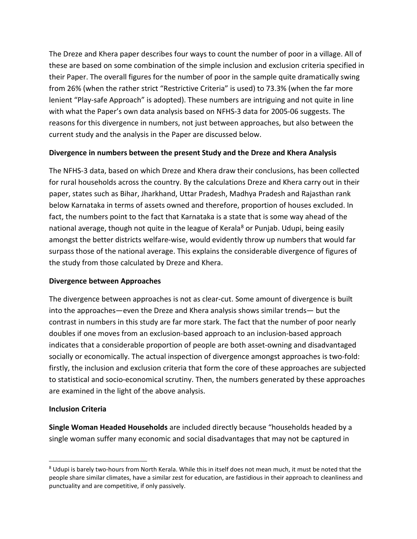The Dreze and Khera paper describes four ways to count the number of poor in a village. All of these are based on some combination of the simple inclusion and exclusion criteria specified in their Paper. The overall figures for the number of poor in the sample quite dramatically swing from 26% (when the rather strict "Restrictive Criteria" is used) to 73.3% (when the far more lenient "Play-safe Approach" is adopted). These numbers are intriguing and not quite in line with what the Paper's own data analysis based on NFHS-3 data for 2005-06 suggests. The reasons for this divergence in numbers, not just between approaches, but also between the current study and the analysis in the Paper are discussed below.

### **Divergence in numbers between the present Study and the Dreze and Khera Analysis**

The NFHS-3 data, based on which Dreze and Khera draw their conclusions, has been collected for rural households across the country. By the calculations Dreze and Khera carry out in their paper, states such as Bihar, Jharkhand, Uttar Pradesh, Madhya Pradesh and Rajasthan rank below Karnataka in terms of assets owned and therefore, proportion of houses excluded. In fact, the numbers point to the fact that Karnataka is a state that is some way ahead of the national average, though not quite in the league of Kerala<sup>[8](#page-4-0)</sup> or Punjab. Udupi, being easily amongst the better districts welfare-wise, would evidently throw up numbers that would far surpass those of the national average. This explains the considerable divergence of figures of the study from those calculated by Dreze and Khera.

### **Divergence between Approaches**

The divergence between approaches is not as clear-cut. Some amount of divergence is built into the approaches—even the Dreze and Khera analysis shows similar trends— but the contrast in numbers in this study are far more stark. The fact that the number of poor nearly doubles if one moves from an exclusion-based approach to an inclusion-based approach indicates that a considerable proportion of people are both asset-owning and disadvantaged socially or economically. The actual inspection of divergence amongst approaches is two-fold: firstly, the inclusion and exclusion criteria that form the core of these approaches are subjected to statistical and socio-economical scrutiny. Then, the numbers generated by these approaches are examined in the light of the above analysis.

# **Inclusion Criteria**

**Single Woman Headed Households** are included directly because "households headed by a single woman suffer many economic and social disadvantages that may not be captured in

<span id="page-4-0"></span><sup>&</sup>lt;sup>8</sup> Udupi is barely two-hours from North Kerala. While this in itself does not mean much, it must be noted that the people share similar climates, have a similar zest for education, are fastidious in their approach to cleanliness and punctuality and are competitive, if only passively.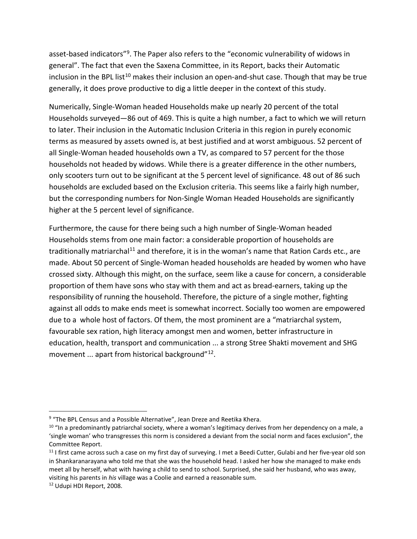asset-based indicators"[9](#page-5-0). The Paper also refers to the "economic vulnerability of widows in general". The fact that even the Saxena Committee, in its Report, backs their Automatic inclusion in the BPL list<sup>[10](#page-5-1)</sup> makes their inclusion an open-and-shut case. Though that may be true generally, it does prove productive to dig a little deeper in the context of this study.

Numerically, Single-Woman headed Households make up nearly 20 percent of the total Households surveyed—86 out of 469. This is quite a high number, a fact to which we will return to later. Their inclusion in the Automatic Inclusion Criteria in this region in purely economic terms as measured by assets owned is, at best justified and at worst ambiguous. 52 percent of all Single-Woman headed households own a TV, as compared to 57 percent for the those households not headed by widows. While there is a greater difference in the other numbers, only scooters turn out to be significant at the 5 percent level of significance. 48 out of 86 such households are excluded based on the Exclusion criteria. This seems like a fairly high number, but the corresponding numbers for Non-Single Woman Headed Households are significantly higher at the 5 percent level of significance.

Furthermore, the cause for there being such a high number of Single-Woman headed Households stems from one main factor: a considerable proportion of households are traditionally matriarchal<sup>11</sup> and therefore, it is in the woman's name that Ration Cards etc., are made. About 50 percent of Single-Woman headed households are headed by women who have crossed sixty. Although this might, on the surface, seem like a cause for concern, a considerable proportion of them have sons who stay with them and act as bread-earners, taking up the responsibility of running the household. Therefore, the picture of a single mother, fighting against all odds to make ends meet is somewhat incorrect. Socially too women are empowered due to a whole host of factors. Of them, the most prominent are a "matriarchal system, favourable sex ration, high literacy amongst men and women, better infrastructure in education, health, transport and communication ... a strong Stree Shakti movement and SHG movement ... apart from historical background"<sup>12</sup>.

<span id="page-5-0"></span><sup>&</sup>lt;sup>9</sup> "The BPL Census and a Possible Alternative", Jean Dreze and Reetika Khera.

<span id="page-5-1"></span> $10$  "In a predominantly patriarchal society, where a woman's legitimacy derives from her dependency on a male, a 'single woman' who transgresses this norm is considered a deviant from the social norm and faces exclusion", the Committee Report.

<span id="page-5-2"></span> $11$  I first came across such a case on my first day of surveying. I met a Beedi Cutter, Gulabi and her five-year old son in Shankaranarayana who told me that she was the household head. I asked her how she managed to make ends meet all by herself, what with having a child to send to school. Surprised, she said her husband, who was away, visiting his parents in *his* village was a Coolie and earned a reasonable sum. 12 Udupi HDI Report, 2008.

<span id="page-5-3"></span>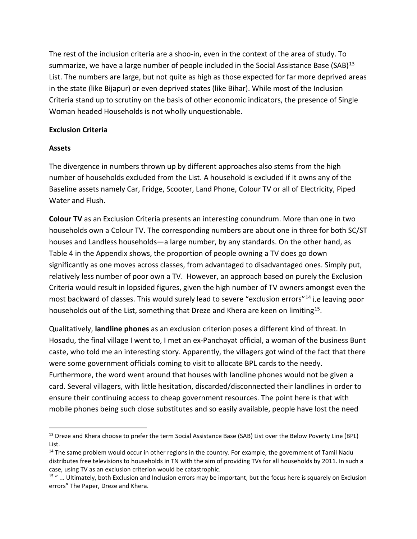The rest of the inclusion criteria are a shoo-in, even in the context of the area of study. To summarize, we have a large number of people included in the Social Assistance Base (SAB) $^{13}$  $^{13}$  $^{13}$ List. The numbers are large, but not quite as high as those expected for far more deprived areas in the state (like Bijapur) or even deprived states (like Bihar). While most of the Inclusion Criteria stand up to scrutiny on the basis of other economic indicators, the presence of Single Woman headed Households is not wholly unquestionable.

### **Exclusion Criteria**

### **Assets**

The divergence in numbers thrown up by different approaches also stems from the high number of households excluded from the List. A household is excluded if it owns any of the Baseline assets namely Car, Fridge, Scooter, Land Phone, Colour TV or all of Electricity, Piped Water and Flush.

**Colour TV** as an Exclusion Criteria presents an interesting conundrum. More than one in two households own a Colour TV. The corresponding numbers are about one in three for both SC/ST houses and Landless households—a large number, by any standards. On the other hand, as Table 4 in the Appendix shows, the proportion of people owning a TV does go down significantly as one moves across classes, from advantaged to disadvantaged ones. Simply put, relatively less number of poor own a TV. However, an approach based on purely the Exclusion Criteria would result in lopsided figures, given the high number of TV owners amongst even the most backward of classes. This would surely lead to severe "exclusion errors"[14](#page-6-1) i.e leaving poor households out of the List, something that Dreze and Khera are keen on limiting<sup>15</sup>.

Qualitatively, **landline phones** as an exclusion criterion poses a different kind of threat. In Hosadu, the final village I went to, I met an ex-Panchayat official, a woman of the business Bunt caste, who told me an interesting story. Apparently, the villagers got wind of the fact that there were some government officials coming to visit to allocate BPL cards to the needy. Furthermore, the word went around that houses with landline phones would not be given a card. Several villagers, with little hesitation, discarded/disconnected their landlines in order to ensure their continuing access to cheap government resources. The point here is that with mobile phones being such close substitutes and so easily available, people have lost the need

<span id="page-6-0"></span><sup>&</sup>lt;sup>13</sup> Dreze and Khera choose to prefer the term Social Assistance Base (SAB) List over the Below Poverty Line (BPL) List.

<span id="page-6-1"></span><sup>&</sup>lt;sup>14</sup> The same problem would occur in other regions in the country. For example, the government of Tamil Nadu distributes free televisions to households in TN with the aim of providing TVs for all households by 2011. In such a case, using TV as an exclusion criterion would be catastrophic.

<span id="page-6-2"></span> $15$  "... Ultimately, both Exclusion and Inclusion errors may be important, but the focus here is squarely on Exclusion errors" The Paper, Dreze and Khera.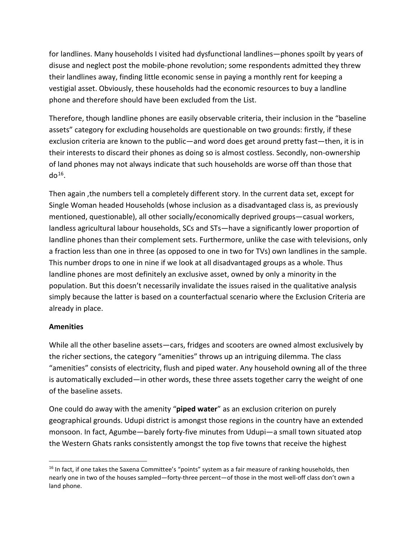for landlines. Many households I visited had dysfunctional landlines—phones spoilt by years of disuse and neglect post the mobile-phone revolution; some respondents admitted they threw their landlines away, finding little economic sense in paying a monthly rent for keeping a vestigial asset. Obviously, these households had the economic resources to buy a landline phone and therefore should have been excluded from the List.

Therefore, though landline phones are easily observable criteria, their inclusion in the "baseline assets" category for excluding households are questionable on two grounds: firstly, if these exclusion criteria are known to the public—and word does get around pretty fast—then, it is in their interests to discard their phones as doing so is almost costless. Secondly, non-ownership of land phones may not always indicate that such households are worse off than those that  $d\sigma^{16}$  $d\sigma^{16}$  $d\sigma^{16}$ .

Then again ,the numbers tell a completely different story. In the current data set, except for Single Woman headed Households (whose inclusion as a disadvantaged class is, as previously mentioned, questionable), all other socially/economically deprived groups—casual workers, landless agricultural labour households, SCs and STs—have a significantly lower proportion of landline phones than their complement sets. Furthermore, unlike the case with televisions, only a fraction less than one in three (as opposed to one in two for TVs) own landlines in the sample. This number drops to one in nine if we look at all disadvantaged groups as a whole. Thus landline phones are most definitely an exclusive asset, owned by only a minority in the population. But this doesn't necessarily invalidate the issues raised in the qualitative analysis simply because the latter is based on a counterfactual scenario where the Exclusion Criteria are already in place.

### **Amenities**

While all the other baseline assets—cars, fridges and scooters are owned almost exclusively by the richer sections, the category "amenities" throws up an intriguing dilemma. The class "amenities" consists of electricity, flush and piped water. Any household owning all of the three is automatically excluded—in other words, these three assets together carry the weight of one of the baseline assets.

One could do away with the amenity "**piped water**" as an exclusion criterion on purely geographical grounds. Udupi district is amongst those regions in the country have an extended monsoon. In fact, Agumbe—barely forty-five minutes from Udupi—a small town situated atop the Western Ghats ranks consistently amongst the top five towns that receive the highest

<span id="page-7-0"></span><sup>&</sup>lt;sup>16</sup> In fact, if one takes the Saxena Committee's "points" system as a fair measure of ranking households, then nearly one in two of the houses sampled—forty-three percent—of those in the most well-off class don't own a land phone.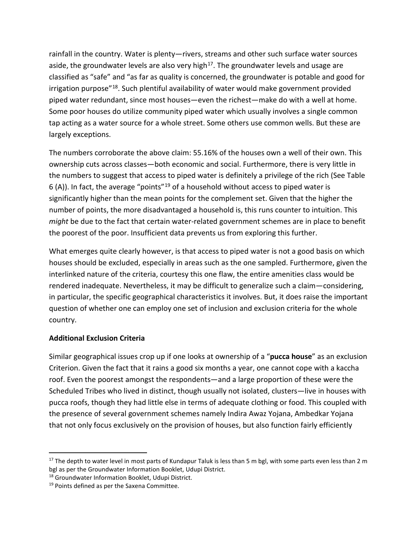rainfall in the country. Water is plenty—rivers, streams and other such surface water sources aside, the groundwater levels are also very high<sup>[17](#page-8-0)</sup>. The groundwater levels and usage are classified as "safe" and "as far as quality is concerned, the groundwater is potable and good for irrigation purpose"<sup>[18](#page-8-1)</sup>. Such plentiful availability of water would make government provided piped water redundant, since most houses—even the richest—make do with a well at home. Some poor houses do utilize community piped water which usually involves a single common tap acting as a water source for a whole street. Some others use common wells. But these are largely exceptions.

The numbers corroborate the above claim: 55.16% of the houses own a well of their own. This ownership cuts across classes—both economic and social. Furthermore, there is very little in the numbers to suggest that access to piped water is definitely a privilege of the rich (See Table 6 (A)). In fact, the average "points"<sup>[19](#page-8-2)</sup> of a household without access to piped water is significantly higher than the mean points for the complement set. Given that the higher the number of points, the more disadvantaged a household is, this runs counter to intuition. This *might* be due to the fact that certain water-related government schemes are in place to benefit the poorest of the poor. Insufficient data prevents us from exploring this further.

What emerges quite clearly however, is that access to piped water is not a good basis on which houses should be excluded, especially in areas such as the one sampled. Furthermore, given the interlinked nature of the criteria, courtesy this one flaw, the entire amenities class would be rendered inadequate. Nevertheless, it may be difficult to generalize such a claim—considering, in particular, the specific geographical characteristics it involves. But, it does raise the important question of whether one can employ one set of inclusion and exclusion criteria for the whole country.

# **Additional Exclusion Criteria**

Similar geographical issues crop up if one looks at ownership of a "**pucca house**" as an exclusion Criterion. Given the fact that it rains a good six months a year, one cannot cope with a kaccha roof. Even the poorest amongst the respondents—and a large proportion of these were the Scheduled Tribes who lived in distinct, though usually not isolated, clusters—live in houses with pucca roofs, though they had little else in terms of adequate clothing or food. This coupled with the presence of several government schemes namely Indira Awaz Yojana, Ambedkar Yojana that not only focus exclusively on the provision of houses, but also function fairly efficiently

<span id="page-8-0"></span> $17$  The depth to water level in most parts of Kundapur Taluk is less than 5 m bgl, with some parts even less than 2 m bgl as per the Groundwater Information Booklet, Udupi District.

<span id="page-8-1"></span><sup>18</sup> Groundwater Information Booklet, Udupi District.

<span id="page-8-2"></span><sup>&</sup>lt;sup>19</sup> Points defined as per the Saxena Committee.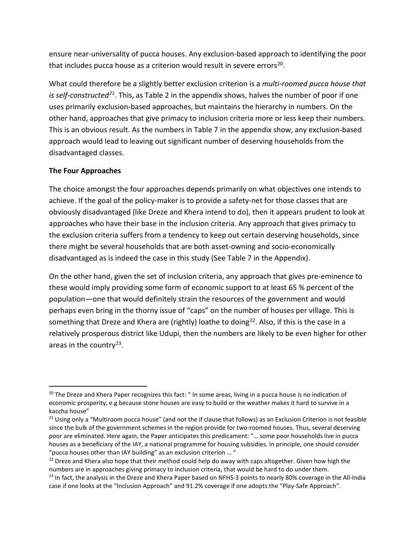ensure near-universality of pucca houses. Any exclusion-based approach to identifying the poor that includes pucca house as a criterion would result in severe errors $20$ .

What could therefore be a slightly better exclusion criterion is a *multi-roomed pucca house that is self-constructe[d21](#page-9-1)*. This, as Table 2 in the appendix shows, halves the number of poor if one uses primarily exclusion-based approaches, but maintains the hierarchy in numbers. On the other hand, approaches that give primacy to inclusion criteria more or less keep their numbers. This is an obvious result. As the numbers in Table 7 in the appendix show, any exclusion-based approach would lead to leaving out significant number of deserving households from the disadvantaged classes.

# **The Four Approaches**

The choice amongst the four approaches depends primarily on what objectives one intends to achieve. If the goal of the policy-maker is to provide a safety-net for those classes that are obviously disadvantaged (like Dreze and Khera intend to do), then it appears prudent to look at approaches who have their base in the inclusion criteria. Any approach that gives primacy to the exclusion criteria suffers from a tendency to keep out certain deserving households, since there might be several households that are both asset-owning and socio-economically disadvantaged as is indeed the case in this study (See Table 7 in the Appendix).

On the other hand, given the set of inclusion criteria, any approach that gives pre-eminence to these would imply providing some form of economic support to at least 65 % percent of the population—one that would definitely strain the resources of the government and would perhaps even bring in the thorny issue of "caps" on the number of houses per village. This is something that Dreze and Khera are (rightly) loathe to doing<sup>22</sup>. Also, if this is the case in a relatively prosperous district like Udupi, then the numbers are likely to be even higher for other areas in the country<sup>[23](#page-9-3)</sup>.

<span id="page-9-0"></span><sup>&</sup>lt;sup>20</sup> The Dreze and Khera Paper recognizes this fact: " In some areas, living in a pucca house is no indication of economic prosperity, e.g because stone houses are easy to build or the weather makes it hard to survive in a kaccha house"

<span id="page-9-1"></span><sup>&</sup>lt;sup>21</sup> Using only a "Multiroom pucca house" (and not the if clause that follows) as an Exclusion Criterion is not feasible since the bulk of the government schemes in the region provide for two-roomed houses. Thus, several deserving poor are eliminated. Here again, the Paper anticipates this predicament: "… some poor households live in pucca houses as a beneficiary of the IAY, a national programme for housing subsidies. In principle, one should consider "pucca houses other than IAY building" as an exclusion criterion ... "

<span id="page-9-2"></span><sup>&</sup>lt;sup>22</sup> Dreze and Khera also hope that their method could help do away with caps altogether. Given how high the numbers are in approaches giving primacy to inclusion criteria, that would be hard to do under them.<br><sup>23</sup> In fact, the analysis in the Dreze and Khera Paper based on NFHS-3 points to nearly 80% coverage in the All-India

<span id="page-9-3"></span>case if one looks at the "Inclusion Approach" and 91.2% coverage if one adopts the "Play-Safe Approach".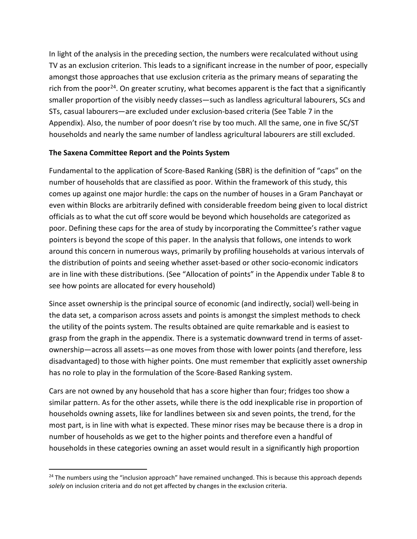In light of the analysis in the preceding section, the numbers were recalculated without using TV as an exclusion criterion. This leads to a significant increase in the number of poor, especially amongst those approaches that use exclusion criteria as the primary means of separating the rich from the poor<sup>[24](#page-10-0)</sup>. On greater scrutiny, what becomes apparent is the fact that a significantly smaller proportion of the visibly needy classes—such as landless agricultural labourers, SCs and STs, casual labourers—are excluded under exclusion-based criteria (See Table 7 in the Appendix). Also, the number of poor doesn't rise by too much. All the same, one in five SC/ST households and nearly the same number of landless agricultural labourers are still excluded.

# **The Saxena Committee Report and the Points System**

Fundamental to the application of Score-Based Ranking (SBR) is the definition of "caps" on the number of households that are classified as poor. Within the framework of this study, this comes up against one major hurdle: the caps on the number of houses in a Gram Panchayat or even within Blocks are arbitrarily defined with considerable freedom being given to local district officials as to what the cut off score would be beyond which households are categorized as poor. Defining these caps for the area of study by incorporating the Committee's rather vague pointers is beyond the scope of this paper. In the analysis that follows, one intends to work around this concern in numerous ways, primarily by profiling households at various intervals of the distribution of points and seeing whether asset-based or other socio-economic indicators are in line with these distributions. (See "Allocation of points" in the Appendix under Table 8 to see how points are allocated for every household)

Since asset ownership is the principal source of economic (and indirectly, social) well-being in the data set, a comparison across assets and points is amongst the simplest methods to check the utility of the points system. The results obtained are quite remarkable and is easiest to grasp from the graph in the appendix. There is a systematic downward trend in terms of assetownership—across all assets—as one moves from those with lower points (and therefore, less disadvantaged) to those with higher points. One must remember that explicitly asset ownership has no role to play in the formulation of the Score-Based Ranking system.

Cars are not owned by any household that has a score higher than four; fridges too show a similar pattern. As for the other assets, while there is the odd inexplicable rise in proportion of households owning assets, like for landlines between six and seven points, the trend, for the most part, is in line with what is expected. These minor rises may be because there is a drop in number of households as we get to the higher points and therefore even a handful of households in these categories owning an asset would result in a significantly high proportion

<span id="page-10-0"></span> $24$  The numbers using the "inclusion approach" have remained unchanged. This is because this approach depends *solely* on inclusion criteria and do not get affected by changes in the exclusion criteria.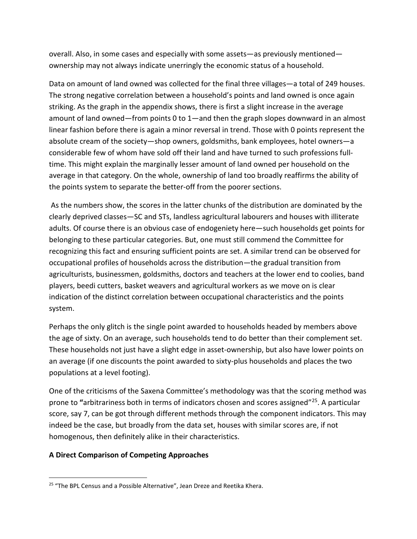overall. Also, in some cases and especially with some assets—as previously mentioned ownership may not always indicate unerringly the economic status of a household.

Data on amount of land owned was collected for the final three villages—a total of 249 houses. The strong negative correlation between a household's points and land owned is once again striking. As the graph in the appendix shows, there is first a slight increase in the average amount of land owned—from points 0 to 1—and then the graph slopes downward in an almost linear fashion before there is again a minor reversal in trend. Those with 0 points represent the absolute cream of the society—shop owners, goldsmiths, bank employees, hotel owners—a considerable few of whom have sold off their land and have turned to such professions fulltime. This might explain the marginally lesser amount of land owned per household on the average in that category. On the whole, ownership of land too broadly reaffirms the ability of the points system to separate the better-off from the poorer sections.

As the numbers show, the scores in the latter chunks of the distribution are dominated by the clearly deprived classes—SC and STs, landless agricultural labourers and houses with illiterate adults. Of course there is an obvious case of endogeniety here—such households get points for belonging to these particular categories. But, one must still commend the Committee for recognizing this fact and ensuring sufficient points are set. A similar trend can be observed for occupational profiles of households across the distribution—the gradual transition from agriculturists, businessmen, goldsmiths, doctors and teachers at the lower end to coolies, band players, beedi cutters, basket weavers and agricultural workers as we move on is clear indication of the distinct correlation between occupational characteristics and the points system.

Perhaps the only glitch is the single point awarded to households headed by members above the age of sixty. On an average, such households tend to do better than their complement set. These households not just have a slight edge in asset-ownership, but also have lower points on an average (if one discounts the point awarded to sixty-plus households and places the two populations at a level footing).

One of the criticisms of the Saxena Committee's methodology was that the scoring method was prone to **"**arbitrariness both in terms of indicators chosen and scores assigned"[25](#page-11-0). A particular score, say 7, can be got through different methods through the component indicators. This may indeed be the case, but broadly from the data set, houses with similar scores are, if not homogenous, then definitely alike in their characteristics.

# **A Direct Comparison of Competing Approaches**

<span id="page-11-0"></span><sup>&</sup>lt;sup>25</sup> "The BPL Census and a Possible Alternative", Jean Dreze and Reetika Khera.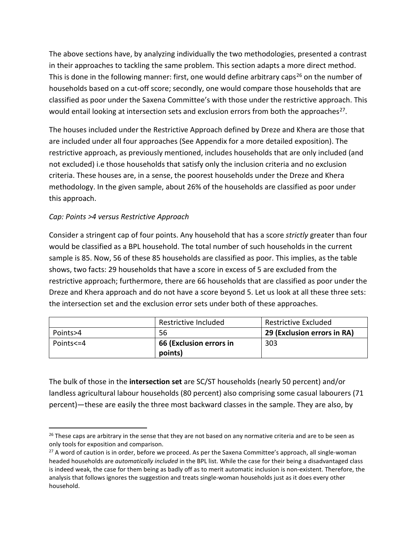The above sections have, by analyzing individually the two methodologies, presented a contrast in their approaches to tackling the same problem. This section adapts a more direct method. This is done in the following manner: first, one would define arbitrary caps<sup>[26](#page-12-0)</sup> on the number of households based on a cut-off score; secondly, one would compare those households that are classified as poor under the Saxena Committee's with those under the restrictive approach. This would entail looking at intersection sets and exclusion errors from both the approaches<sup>[27](#page-12-1)</sup>.

The houses included under the Restrictive Approach defined by Dreze and Khera are those that are included under all four approaches (See Appendix for a more detailed exposition). The restrictive approach, as previously mentioned, includes households that are only included (and not excluded) i.e those households that satisfy only the inclusion criteria and no exclusion criteria. These houses are, in a sense, the poorest households under the Dreze and Khera methodology. In the given sample, about 26% of the households are classified as poor under this approach.

# *Cap: Points >4 versus Restrictive Approach*

Consider a stringent cap of four points. Any household that has a score *strictly* greater than four would be classified as a BPL household. The total number of such households in the current sample is 85. Now, 56 of these 85 households are classified as poor. This implies, as the table shows, two facts: 29 households that have a score in excess of 5 are excluded from the restrictive approach; furthermore, there are 66 households that are classified as poor under the Dreze and Khera approach and do not have a score beyond 5. Let us look at all these three sets: the intersection set and the exclusion error sets under both of these approaches.

|           | Restrictive Included<br>Restrictive Excluded |                             |
|-----------|----------------------------------------------|-----------------------------|
| Points>4  | 56                                           | 29 (Exclusion errors in RA) |
| Points<=4 | 66 (Exclusion errors in                      | 303                         |
|           | points)                                      |                             |

The bulk of those in the **intersection set** are SC/ST households (nearly 50 percent) and/or landless agricultural labour households (80 percent) also comprising some casual labourers (71 percent)—these are easily the three most backward classes in the sample. They are also, by

<span id="page-12-0"></span><sup>&</sup>lt;sup>26</sup> These caps are arbitrary in the sense that they are not based on any normative criteria and are to be seen as only tools for exposition and comparison.<br><sup>27</sup> A word of caution is in order, before we proceed. As per the Saxena Committee's approach, all single-woman

<span id="page-12-1"></span>headed households are *automatically included* in the BPL list. While the case for their being a disadvantaged class is indeed weak, the case for them being as badly off as to merit automatic inclusion is non-existent. Therefore, the analysis that follows ignores the suggestion and treats single-woman households just as it does every other household.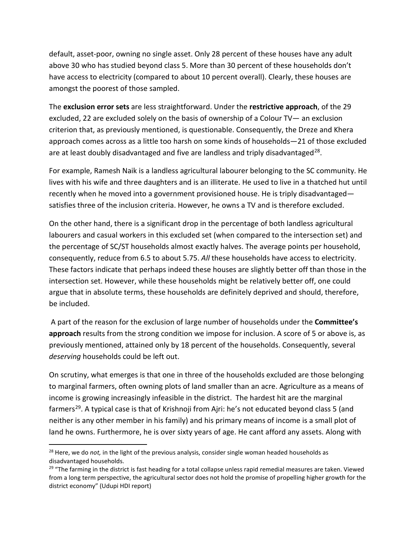default, asset-poor, owning no single asset. Only 28 percent of these houses have any adult above 30 who has studied beyond class 5. More than 30 percent of these households don't have access to electricity (compared to about 10 percent overall). Clearly, these houses are amongst the poorest of those sampled.

The **exclusion error sets** are less straightforward. Under the **restrictive approach**, of the 29 excluded, 22 are excluded solely on the basis of ownership of a Colour TV— an exclusion criterion that, as previously mentioned, is questionable. Consequently, the Dreze and Khera approach comes across as a little too harsh on some kinds of households—21 of those excluded are at least doubly disadvantaged and five are landless and triply disadvantaged<sup>28</sup>.

For example, Ramesh Naik is a landless agricultural labourer belonging to the SC community. He lives with his wife and three daughters and is an illiterate. He used to live in a thatched hut until recently when he moved into a government provisioned house. He is triply disadvantaged satisfies three of the inclusion criteria. However, he owns a TV and is therefore excluded.

On the other hand, there is a significant drop in the percentage of both landless agricultural labourers and casual workers in this excluded set (when compared to the intersection set) and the percentage of SC/ST households almost exactly halves. The average points per household, consequently, reduce from 6.5 to about 5.75. *All* these households have access to electricity. These factors indicate that perhaps indeed these houses are slightly better off than those in the intersection set. However, while these households might be relatively better off, one could argue that in absolute terms, these households are definitely deprived and should, therefore, be included.

A part of the reason for the exclusion of large number of households under the **Committee's approach** results from the strong condition we impose for inclusion. A score of 5 or above is, as previously mentioned, attained only by 18 percent of the households. Consequently, several *deserving* households could be left out.

On scrutiny, what emerges is that one in three of the households excluded are those belonging to marginal farmers, often owning plots of land smaller than an acre. Agriculture as a means of income is growing increasingly infeasible in the district. The hardest hit are the marginal farmers<sup>29</sup>. A typical case is that of Krishnoji from Ajri: he's not educated beyond class 5 (and neither is any other member in his family) and his primary means of income is a small plot of land he owns. Furthermore, he is over sixty years of age. He cant afford any assets. Along with

<span id="page-13-0"></span> <sup>28</sup> Here, we do *not,* in the light of the previous analysis, consider single woman headed households as disadvantaged households.

<span id="page-13-1"></span> $29$  "The farming in the district is fast heading for a total collapse unless rapid remedial measures are taken. Viewed from a long term perspective, the agricultural sector does not hold the promise of propelling higher growth for the district economy" (Udupi HDI report)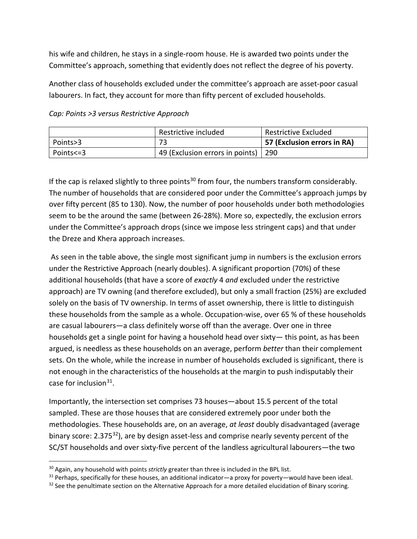his wife and children, he stays in a single-room house. He is awarded two points under the Committee's approach, something that evidently does not reflect the degree of his poverty.

Another class of households excluded under the committee's approach are asset-poor casual labourers. In fact, they account for more than fifty percent of excluded households.

|           | Restrictive included            | Restrictive Excluded        |  |
|-----------|---------------------------------|-----------------------------|--|
| Points>3  | 72                              | 57 (Exclusion errors in RA) |  |
| Points<=3 | 49 (Exclusion errors in points) | -290                        |  |

*Cap: Points >3 versus Restrictive Approach*

If the cap is relaxed slightly to three points<sup>30</sup> from four, the numbers transform considerably. The number of households that are considered poor under the Committee's approach jumps by over fifty percent (85 to 130). Now, the number of poor households under both methodologies seem to be the around the same (between 26-28%). More so, expectedly, the exclusion errors under the Committee's approach drops (since we impose less stringent caps) and that under the Dreze and Khera approach increases.

As seen in the table above, the single most significant jump in numbers is the exclusion errors under the Restrictive Approach (nearly doubles). A significant proportion (70%) of these additional households (that have a score of *exactly* 4 *and* excluded under the restrictive approach) are TV owning (and therefore excluded), but only a small fraction (25%) are excluded solely on the basis of TV ownership. In terms of asset ownership, there is little to distinguish these households from the sample as a whole. Occupation-wise, over 65 % of these households are casual labourers—a class definitely worse off than the average. Over one in three households get a single point for having a household head over sixty— this point, as has been argued, is needless as these households on an average, perform *better* than their complement sets. On the whole, while the increase in number of households excluded is significant, there is not enough in the characteristics of the households at the margin to push indisputably their case for inclusion $31$ .

Importantly, the intersection set comprises 73 houses—about 15.5 percent of the total sampled. These are those houses that are considered extremely poor under both the methodologies. These households are, on an average, *at least* doubly disadvantaged (average binary score:  $2.375^{32}$ ), are by design asset-less and comprise nearly seventy percent of the SC/ST households and over sixty-five percent of the landless agricultural labourers—the two

<span id="page-14-1"></span><span id="page-14-0"></span><sup>&</sup>lt;sup>30</sup> Again, any household with points *strictly* greater than three is included in the BPL list.<br><sup>31</sup> Perhaps, specifically for these houses, an additional indicator—a proxy for poverty—would have been ideal.

<span id="page-14-2"></span><sup>&</sup>lt;sup>32</sup> See the penultimate section on the Alternative Approach for a more detailed elucidation of Binary scoring.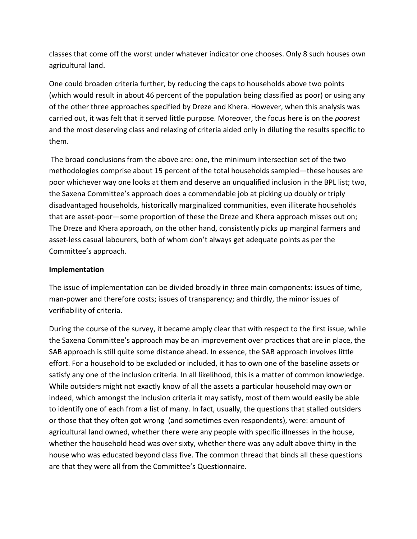classes that come off the worst under whatever indicator one chooses. Only 8 such houses own agricultural land.

One could broaden criteria further, by reducing the caps to households above two points (which would result in about 46 percent of the population being classified as poor) or using any of the other three approaches specified by Dreze and Khera. However, when this analysis was carried out, it was felt that it served little purpose. Moreover, the focus here is on the *poorest* and the most deserving class and relaxing of criteria aided only in diluting the results specific to them.

The broad conclusions from the above are: one, the minimum intersection set of the two methodologies comprise about 15 percent of the total households sampled—these houses are poor whichever way one looks at them and deserve an unqualified inclusion in the BPL list; two, the Saxena Committee's approach does a commendable job at picking up doubly or triply disadvantaged households, historically marginalized communities, even illiterate households that are asset-poor—some proportion of these the Dreze and Khera approach misses out on; The Dreze and Khera approach, on the other hand, consistently picks up marginal farmers and asset-less casual labourers, both of whom don't always get adequate points as per the Committee's approach.

# **Implementation**

The issue of implementation can be divided broadly in three main components: issues of time, man-power and therefore costs; issues of transparency; and thirdly, the minor issues of verifiability of criteria.

During the course of the survey, it became amply clear that with respect to the first issue, while the Saxena Committee's approach may be an improvement over practices that are in place, the SAB approach is still quite some distance ahead. In essence, the SAB approach involves little effort. For a household to be excluded or included, it has to own one of the baseline assets or satisfy any one of the inclusion criteria. In all likelihood, this is a matter of common knowledge. While outsiders might not exactly know of all the assets a particular household may own or indeed, which amongst the inclusion criteria it may satisfy, most of them would easily be able to identify one of each from a list of many. In fact, usually, the questions that stalled outsiders or those that they often got wrong (and sometimes even respondents), were: amount of agricultural land owned, whether there were any people with specific illnesses in the house, whether the household head was over sixty, whether there was any adult above thirty in the house who was educated beyond class five. The common thread that binds all these questions are that they were all from the Committee's Questionnaire.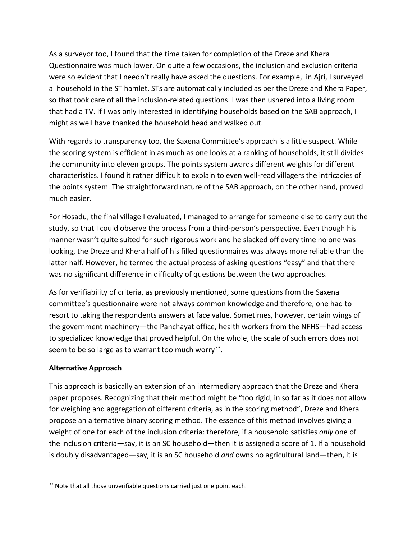As a surveyor too, I found that the time taken for completion of the Dreze and Khera Questionnaire was much lower. On quite a few occasions, the inclusion and exclusion criteria were so evident that I needn't really have asked the questions. For example, in Ajri, I surveyed a household in the ST hamlet. STs are automatically included as per the Dreze and Khera Paper, so that took care of all the inclusion-related questions. I was then ushered into a living room that had a TV. If I was only interested in identifying households based on the SAB approach, I might as well have thanked the household head and walked out.

With regards to transparency too, the Saxena Committee's approach is a little suspect. While the scoring system is efficient in as much as one looks at a ranking of households, it still divides the community into eleven groups. The points system awards different weights for different characteristics. I found it rather difficult to explain to even well-read villagers the intricacies of the points system. The straightforward nature of the SAB approach, on the other hand, proved much easier.

For Hosadu, the final village I evaluated, I managed to arrange for someone else to carry out the study, so that I could observe the process from a third-person's perspective. Even though his manner wasn't quite suited for such rigorous work and he slacked off every time no one was looking, the Dreze and Khera half of his filled questionnaires was always more reliable than the latter half. However, he termed the actual process of asking questions "easy" and that there was no significant difference in difficulty of questions between the two approaches.

As for verifiability of criteria, as previously mentioned, some questions from the Saxena committee's questionnaire were not always common knowledge and therefore, one had to resort to taking the respondents answers at face value. Sometimes, however, certain wings of the government machinery—the Panchayat office, health workers from the NFHS—had access to specialized knowledge that proved helpful. On the whole, the scale of such errors does not seem to be so large as to warrant too much worry<sup>[33](#page-16-0)</sup>.

# **Alternative Approach**

This approach is basically an extension of an intermediary approach that the Dreze and Khera paper proposes. Recognizing that their method might be "too rigid, in so far as it does not allow for weighing and aggregation of different criteria, as in the scoring method", Dreze and Khera propose an alternative binary scoring method. The essence of this method involves giving a weight of one for each of the inclusion criteria: therefore, if a household satisfies *only* one of the inclusion criteria—say, it is an SC household—then it is assigned a score of 1. If a household is doubly disadvantaged—say, it is an SC household *and* owns no agricultural land—then, it is

<span id="page-16-0"></span> $33$  Note that all those unverifiable questions carried just one point each.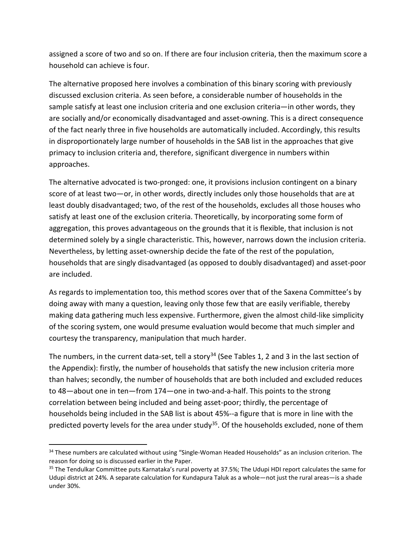assigned a score of two and so on. If there are four inclusion criteria, then the maximum score a household can achieve is four.

The alternative proposed here involves a combination of this binary scoring with previously discussed exclusion criteria. As seen before, a considerable number of households in the sample satisfy at least one inclusion criteria and one exclusion criteria—in other words, they are socially and/or economically disadvantaged and asset-owning. This is a direct consequence of the fact nearly three in five households are automatically included. Accordingly, this results in disproportionately large number of households in the SAB list in the approaches that give primacy to inclusion criteria and, therefore, significant divergence in numbers within approaches.

The alternative advocated is two-pronged: one, it provisions inclusion contingent on a binary score of at least two—or, in other words, directly includes only those households that are at least doubly disadvantaged; two, of the rest of the households, excludes all those houses who satisfy at least one of the exclusion criteria. Theoretically, by incorporating some form of aggregation, this proves advantageous on the grounds that it is flexible, that inclusion is not determined solely by a single characteristic. This, however, narrows down the inclusion criteria. Nevertheless, by letting asset-ownership decide the fate of the rest of the population, households that are singly disadvantaged (as opposed to doubly disadvantaged) and asset-poor are included.

As regards to implementation too, this method scores over that of the Saxena Committee's by doing away with many a question, leaving only those few that are easily verifiable, thereby making data gathering much less expensive. Furthermore, given the almost child-like simplicity of the scoring system, one would presume evaluation would become that much simpler and courtesy the transparency, manipulation that much harder.

The numbers, in the current data-set, tell a story<sup>[34](#page-17-0)</sup> (See Tables 1, 2 and 3 in the last section of the Appendix): firstly, the number of households that satisfy the new inclusion criteria more than halves; secondly, the number of households that are both included and excluded reduces to 48—about one in ten—from 174—one in two-and-a-half. This points to the strong correlation between being included and being asset-poor; thirdly, the percentage of households being included in the SAB list is about 45%--a figure that is more in line with the predicted poverty levels for the area under study<sup>35</sup>. Of the households excluded, none of them

<span id="page-17-0"></span><sup>&</sup>lt;sup>34</sup> These numbers are calculated without using "Single-Woman Headed Households" as an inclusion criterion. The reason for doing so is discussed earlier in the Paper.

<span id="page-17-1"></span><sup>&</sup>lt;sup>35</sup> The Tendulkar Committee puts Karnataka's rural poverty at 37.5%; The Udupi HDI report calculates the same for Udupi district at 24%. A separate calculation for Kundapura Taluk as a whole—not just the rural areas—is a shade under 30%.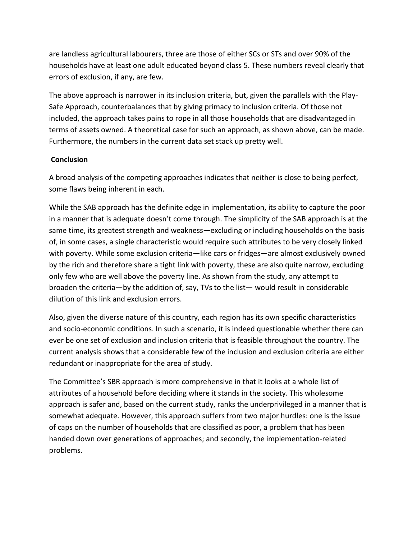are landless agricultural labourers, three are those of either SCs or STs and over 90% of the households have at least one adult educated beyond class 5. These numbers reveal clearly that errors of exclusion, if any, are few.

The above approach is narrower in its inclusion criteria, but, given the parallels with the Play-Safe Approach, counterbalances that by giving primacy to inclusion criteria. Of those not included, the approach takes pains to rope in all those households that are disadvantaged in terms of assets owned. A theoretical case for such an approach, as shown above, can be made. Furthermore, the numbers in the current data set stack up pretty well.

### **Conclusion**

A broad analysis of the competing approaches indicates that neither is close to being perfect, some flaws being inherent in each.

While the SAB approach has the definite edge in implementation, its ability to capture the poor in a manner that is adequate doesn't come through. The simplicity of the SAB approach is at the same time, its greatest strength and weakness—excluding or including households on the basis of, in some cases, a single characteristic would require such attributes to be very closely linked with poverty. While some exclusion criteria—like cars or fridges—are almost exclusively owned by the rich and therefore share a tight link with poverty, these are also quite narrow, excluding only few who are well above the poverty line. As shown from the study, any attempt to broaden the criteria—by the addition of, say, TVs to the list— would result in considerable dilution of this link and exclusion errors.

Also, given the diverse nature of this country, each region has its own specific characteristics and socio-economic conditions. In such a scenario, it is indeed questionable whether there can ever be one set of exclusion and inclusion criteria that is feasible throughout the country. The current analysis shows that a considerable few of the inclusion and exclusion criteria are either redundant or inappropriate for the area of study.

The Committee's SBR approach is more comprehensive in that it looks at a whole list of attributes of a household before deciding where it stands in the society. This wholesome approach is safer and, based on the current study, ranks the underprivileged in a manner that is somewhat adequate. However, this approach suffers from two major hurdles: one is the issue of caps on the number of households that are classified as poor, a problem that has been handed down over generations of approaches; and secondly, the implementation-related problems.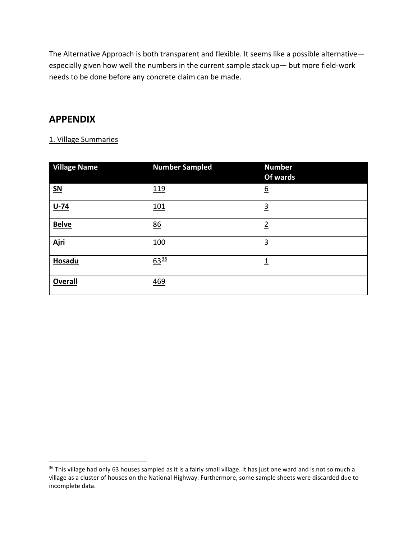The Alternative Approach is both transparent and flexible. It seems like a possible alternative especially given how well the numbers in the current sample stack up— but more field-work needs to be done before any concrete claim can be made.

# **APPENDIX**

### 1. Village Summaries

| <b>Village Name</b>       | <b>Number Sampled</b> | <b>Number</b><br>Of wards |
|---------------------------|-----------------------|---------------------------|
| $\underline{\mathsf{SN}}$ | <u>119</u>            | $\underline{6}$           |
| $U-74$                    | <u>101</u>            | $\overline{3}$            |
| <b>Belve</b>              | 86                    | $\overline{2}$            |
| <u>Ajri</u>               | 100                   | $\overline{3}$            |
| Hosadu                    | $63^{36}$             | $\overline{1}$            |
| <b>Overall</b>            | 469                   |                           |

<span id="page-19-0"></span><sup>&</sup>lt;sup>36</sup> This village had only 63 houses sampled as it is a fairly small village. It has just one ward and is not so much a village as a cluster of houses on the National Highway. Furthermore, some sample sheets were discarded due to incomplete data.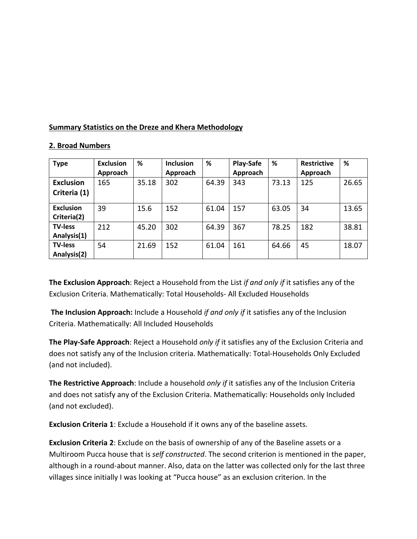### **Summary Statistics on the Dreze and Khera Methodology**

| <b>Type</b>                      | <b>Exclusion</b><br>Approach | %     | <b>Inclusion</b><br>Approach | %     | <b>Play-Safe</b><br>Approach | %     | <b>Restrictive</b><br>Approach | %     |
|----------------------------------|------------------------------|-------|------------------------------|-------|------------------------------|-------|--------------------------------|-------|
| <b>Exclusion</b><br>Criteria (1) | 165                          | 35.18 | 302                          | 64.39 | 343                          | 73.13 | 125                            | 26.65 |
| <b>Exclusion</b><br>Criteria(2)  | 39                           | 15.6  | 152                          | 61.04 | 157                          | 63.05 | 34                             | 13.65 |
| <b>TV-less</b><br>Analysis(1)    | 212                          | 45.20 | 302                          | 64.39 | 367                          | 78.25 | 182                            | 38.81 |
| <b>TV-less</b><br>Analysis(2)    | 54                           | 21.69 | 152                          | 61.04 | 161                          | 64.66 | 45                             | 18.07 |

#### **2. Broad Numbers**

**The Exclusion Approach**: Reject a Household from the List *if and only if* it satisfies any of the Exclusion Criteria. Mathematically: Total Households- All Excluded Households

**The Inclusion Approach:** Include a Household *if and only if* it satisfies any of the Inclusion Criteria. Mathematically: All Included Households

**The Play-Safe Approach**: Reject a Household *only if* it satisfies any of the Exclusion Criteria and does not satisfy any of the Inclusion criteria. Mathematically: Total-Households Only Excluded (and not included).

**The Restrictive Approach**: Include a household *only if* it satisfies any of the Inclusion Criteria and does not satisfy any of the Exclusion Criteria. Mathematically: Households only Included (and not excluded).

**Exclusion Criteria 1**: Exclude a Household if it owns any of the baseline assets.

**Exclusion Criteria 2**: Exclude on the basis of ownership of any of the Baseline assets or a Multiroom Pucca house that is *self constructed*. The second criterion is mentioned in the paper, although in a round-about manner. Also, data on the latter was collected only for the last three villages since initially I was looking at "Pucca house" as an exclusion criterion. In the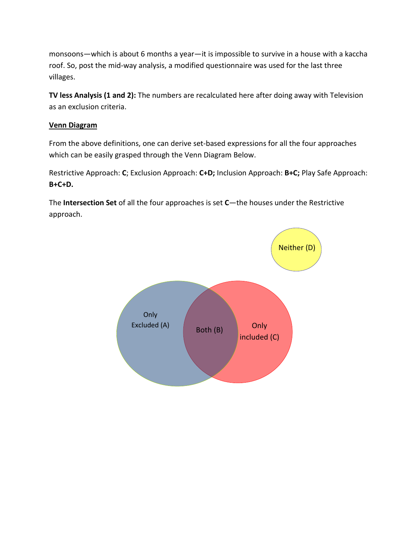monsoons—which is about 6 months a year—it is impossible to survive in a house with a kaccha roof. So, post the mid-way analysis, a modified questionnaire was used for the last three villages.

**TV less Analysis (1 and 2):** The numbers are recalculated here after doing away with Television as an exclusion criteria.

# **Venn Diagram**

From the above definitions, one can derive set-based expressions for all the four approaches which can be easily grasped through the Venn Diagram Below.

Restrictive Approach: **C**; Exclusion Approach: **C+D;** Inclusion Approach: **B+C;** Play Safe Approach: **B+C+D.** 

The **Intersection Set** of all the four approaches is set **C**—the houses under the Restrictive approach.

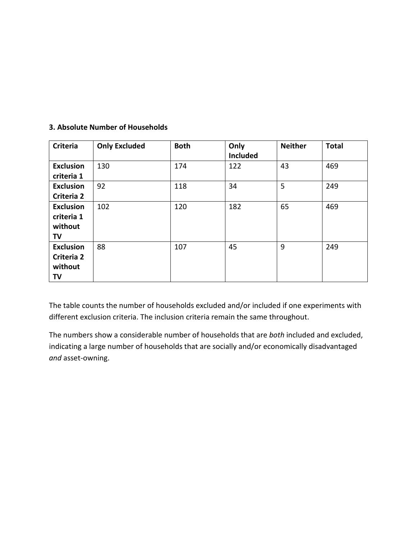| <b>Criteria</b>                                        | <b>Only Excluded</b> | <b>Both</b> | Only<br><b>Included</b> | <b>Neither</b> | <b>Total</b> |
|--------------------------------------------------------|----------------------|-------------|-------------------------|----------------|--------------|
| <b>Exclusion</b><br>criteria 1                         | 130                  | 174         | 122                     | 43             | 469          |
| <b>Exclusion</b><br>Criteria 2                         | 92                   | 118         | 34                      | 5              | 249          |
| <b>Exclusion</b><br>criteria 1<br>without<br><b>TV</b> | 102                  | 120         | 182                     | 65             | 469          |
| <b>Exclusion</b><br>Criteria 2<br>without<br>TV        | 88                   | 107         | 45                      | 9              | 249          |

# **3. Absolute Number of Households**

The table counts the number of households excluded and/or included if one experiments with different exclusion criteria. The inclusion criteria remain the same throughout.

The numbers show a considerable number of households that are *both* included and excluded, indicating a large number of households that are socially and/or economically disadvantaged *and* asset-owning.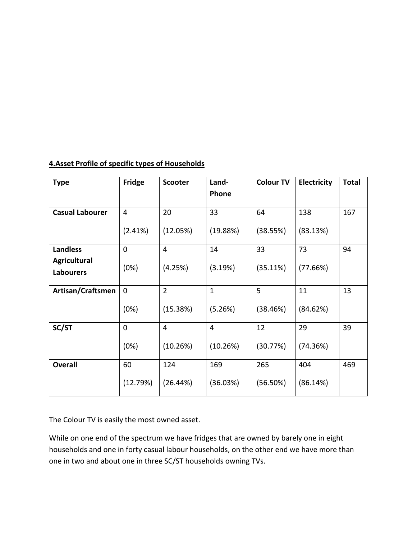| <b>Type</b>                      | Fridge      | <b>Scooter</b> | Land-        | <b>Colour TV</b> | Electricity | <b>Total</b> |
|----------------------------------|-------------|----------------|--------------|------------------|-------------|--------------|
|                                  |             |                | Phone        |                  |             |              |
| <b>Casual Labourer</b>           | 4           | 20             | 33           | 64               | 138         | 167          |
|                                  | (2.41%)     | (12.05%)       | (19.88%)     | (38.55%)         | (83.13%)    |              |
| <b>Landless</b>                  | 0           | $\overline{4}$ | 14           | 33               | 73          | 94           |
| Agricultural<br><b>Labourers</b> | (0%)        | (4.25%)        | (3.19%)      | (35.11%)         | (77.66%)    |              |
| Artisan/Craftsmen                | $\mathbf 0$ | $\overline{2}$ | $\mathbf{1}$ | 5                | 11          | 13           |
|                                  | (0%)        | (15.38%)       | (5.26%)      | (38.46%)         | (84.62%)    |              |
| SC/ST                            | $\pmb{0}$   | $\overline{4}$ | 4            | 12               | 29          | 39           |
|                                  | (0%)        | (10.26%)       | (10.26%)     | (30.77%)         | (74.36%)    |              |
| <b>Overall</b>                   | 60          | 124            | 169          | 265              | 404         | 469          |
|                                  | (12.79%)    | (26.44%)       | (36.03%)     | (56.50%)         | (86.14%)    |              |

# **4.Asset Profile of specific types of Households**

The Colour TV is easily the most owned asset.

While on one end of the spectrum we have fridges that are owned by barely one in eight households and one in forty casual labour households, on the other end we have more than one in two and about one in three SC/ST households owning TVs.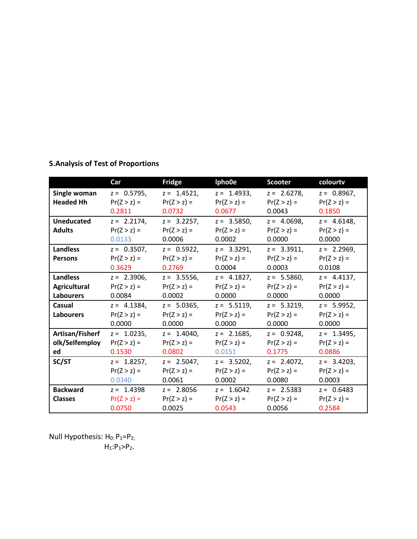# **5.Analysis of Test of Proportions**

|                     | Car            | Fridge         | lpho0e         | <b>Scooter</b> | colourtv       |
|---------------------|----------------|----------------|----------------|----------------|----------------|
| Single woman        | $z = 0.5795$ , | $z = 1.4521$ , | $z = 1.4933$ , | $z = 2.6278$ , | $z = 0.8967$ , |
| <b>Headed Hh</b>    | $Pr(Z > z) =$  | $Pr(Z > z) =$  | $Pr(Z > z) =$  | $Pr(Z > z) =$  | $Pr(Z > z) =$  |
|                     | 0.2811         | 0.0732         | 0.0677         | 0.0043         | 0.1850         |
| <b>Uneducated</b>   | $z = 2.2174$ , | $z = 3.2257$ , | $z = 3.5850$ , | $z = 4.0698$ , | $z = 4.6148$ , |
| <b>Adults</b>       | $Pr(Z > z) =$  | $Pr(Z > z) =$  | $Pr(Z > z) =$  | $Pr(Z > z) =$  | $Pr(Z > z) =$  |
|                     | 0.0133         | 0.0006         | 0.0002         | 0.0000         | 0.0000         |
| <b>Landless</b>     | $z = 0.3507,$  | $z = 0.5922$ , | $z = 3.3291$ , | $z = 3.3911$ , | $z = 2.2969$ , |
| <b>Persons</b>      | $Pr(Z > z) =$  | $Pr(Z > z) =$  | $Pr(Z > z) =$  | $Pr(Z > z) =$  | $Pr(Z > z) =$  |
|                     | 0.3629         | 0.2769         | 0.0004         | 0.0003         | 0.0108         |
| <b>Landless</b>     | $z = 2.3906$ , | $z = 3.5556$ , | $z = 4.1827$ , | $z = 5.5860$ , | $z = 4.4137$ , |
| <b>Agricultural</b> | $Pr(Z > z) =$  | $Pr(Z > z) =$  | $Pr(Z > z) =$  | $Pr(Z > z) =$  | $Pr(Z > z) =$  |
| <b>Labourers</b>    | 0.0084         | 0.0002         | 0.0000         | 0.0000         | 0.0000         |
| Casual              | $z = 4.1384$ , | $z = 5.0365$ , | $z = 5.5119$ , | $z = 5.3219$ , | $z = 5.9952$   |
| <b>Labourers</b>    | $Pr(Z > z) =$  | $Pr(Z > z) =$  | $Pr(Z > z) =$  | $Pr(Z > z) =$  | $Pr(Z > z) =$  |
|                     | 0.0000         | 0.0000         | 0.0000         | 0.0000         | 0.0000         |
| Artisan/Fisherf     | $z = 1.0235,$  | $z = 1.4040,$  | $z = 2.1685$ , | $z = 0.9248$ , | $z = 1.3495$ , |
| olk/Selfemploy      | $Pr(Z > z) =$  | $Pr(Z > z) =$  | $Pr(Z > z) =$  | $Pr(Z > z) =$  | $Pr(Z > z) =$  |
| ed                  | 0.1530         | 0.0802         | 0.0151         | 0.1775         | 0.0886         |
| SC/ST               | $z = 1.8257,$  | $z = 2.5047$ , | $z = 3.5202$ , | $z = 2.4072$ , | $z = 3.4203$ , |
|                     | $Pr(Z > z) =$  | $Pr(Z > z) =$  | $Pr(Z > z) =$  | $Pr(Z > z) =$  | $Pr(Z > z) =$  |
|                     | 0.0340         | 0.0061         | 0.0002         | 0.0080         | 0.0003         |
| <b>Backward</b>     | $z = 1.4398$   | $z = 2.8056$   | $z = 1.6042$   | $z = 2.5383$   | $z = 0.6483$   |
| <b>Classes</b>      | $Pr(Z > z) =$  | $Pr(Z > z) =$  | $Pr(Z > z) =$  | $Pr(Z > z) =$  | $Pr(Z > z) =$  |
|                     | 0.0750         | 0.0025         | 0.0543         | 0.0056         | 0.2584         |

Null Hypothesis:  $H_0$ :  $P_1 = P_2$ ;  $H_1: P_1 > P_2.$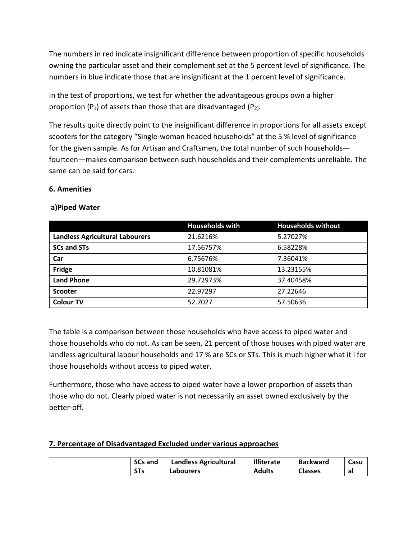The numbers in red indicate insignificant difference between proportion of specific households owning the particular asset and their complement set at the 5 percent level of significance. The numbers in blue indicate those that are insignificant at the 1 percent level of significance.

In the test of proportions, we test for whether the advantageous groups own a higher proportion  $(P_1)$  of assets than those that are disadvantaged  $(P_2)$ .

The results quite directly point to the insignificant difference in proportions for all assets except scooters for the category "Single-woman headed households" at the 5 % level of significance for the given sample. As for Artisan and Craftsmen, the total number of such households fourteen—makes comparison between such households and their complements unreliable. The same can be said for cars.

### **6. Amenities**

|                                        | <b>Households with</b> | <b>Households without</b> |
|----------------------------------------|------------------------|---------------------------|
| <b>Landless Agricultural Labourers</b> | 21.6216%               | 5.27027%                  |
| <b>SCs and STs</b>                     | 17.56757%              | 6.58228%                  |
| Car                                    | 6.75676%               | 7.36041%                  |
| Fridge                                 | 10.81081%              | 13.23155%                 |
| <b>Land Phone</b>                      | 29.72973%              | 37.40458%                 |
| <b>Scooter</b>                         | 22.97297               | 27.22646                  |
| <b>Colour TV</b>                       | 52.7027                | 57.50636                  |

### **a)Piped Water**

The table is a comparison between those households who have access to piped water and those households who do not. As can be seen, 21 percent of those houses with piped water are landless agricultural labour households and 17 % are SCs or STs. This is much higher what it i for those households without access to piped water.

Furthermore, those who have access to piped water have a lower proportion of assets than those who do not. Clearly piped water is not necessarily an asset owned exclusively by the better-off.

### **7. Percentage of Disadvantaged Excluded under various approaches**

| <b>SCs and</b> | <b>Landless Agricultural</b> | <b>Illiterate</b> | <b>Backward</b> | Casu |
|----------------|------------------------------|-------------------|-----------------|------|
| 313            | Labourers                    | <b>Adults</b>     | <b>Classes</b>  | -al  |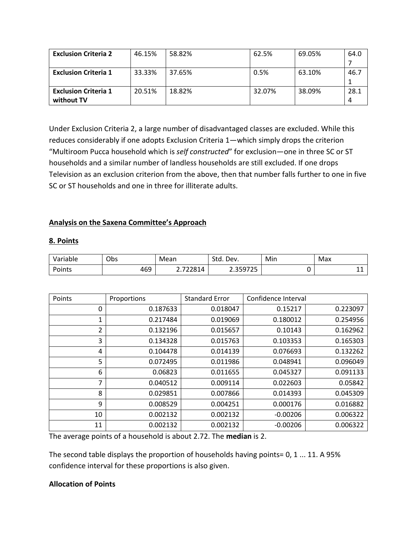| <b>Exclusion Criteria 2</b> | 46.15% | 58.82% | 62.5%  | 69.05% | 64.0 |
|-----------------------------|--------|--------|--------|--------|------|
|                             |        |        |        |        |      |
| <b>Exclusion Criteria 1</b> | 33.33% | 37.65% | 0.5%   | 63.10% | 46.7 |
|                             |        |        |        |        |      |
| <b>Exclusion Criteria 1</b> | 20.51% | 18.82% | 32.07% | 38.09% | 28.1 |
| without TV                  |        |        |        |        |      |

Under Exclusion Criteria 2, a large number of disadvantaged classes are excluded. While this reduces considerably if one adopts Exclusion Criteria 1—which simply drops the criterion "Multiroom Pucca household which is *self constructed*" for exclusion—one in three SC or ST households and a similar number of landless households are still excluded. If one drops Television as an exclusion criterion from the above, then that number falls further to one in five SC or ST households and one in three for illiterate adults.

# **Analysis on the Saxena Committee's Approach**

### **8. Points**

| /ariable<br>v ai | Obs | Mean           | Stn<br>$\overline{\phantom{0}}$<br>Dev.<br>.<br>- | Min | Max        |
|------------------|-----|----------------|---------------------------------------------------|-----|------------|
| Points           | 469 | 77701<br>-<br> | 2E072E<br>$\overline{\phantom{a}}$<br><u> </u>    |     | <b>. .</b> |

| Points         | Proportions | <b>Standard Error</b> | Confidence Interval |          |
|----------------|-------------|-----------------------|---------------------|----------|
| 0              | 0.187633    | 0.018047              | 0.15217             | 0.223097 |
| 1              | 0.217484    | 0.019069              | 0.180012            | 0.254956 |
| $\overline{2}$ | 0.132196    | 0.015657              | 0.10143             | 0.162962 |
| 3              | 0.134328    | 0.015763              | 0.103353            | 0.165303 |
| 4              | 0.104478    | 0.014139              | 0.076693            | 0.132262 |
| 5              | 0.072495    | 0.011986              | 0.048941            | 0.096049 |
| 6              | 0.06823     | 0.011655              | 0.045327            | 0.091133 |
| $\overline{7}$ | 0.040512    | 0.009114              | 0.022603            | 0.05842  |
| 8              | 0.029851    | 0.007866              | 0.014393            | 0.045309 |
| 9              | 0.008529    | 0.004251              | 0.000176            | 0.016882 |
| 10             | 0.002132    | 0.002132              | $-0.00206$          | 0.006322 |
| 11             | 0.002132    | 0.002132              | $-0.00206$          | 0.006322 |

The average points of a household is about 2.72. The **median** is 2.

The second table displays the proportion of households having points= 0, 1 ... 11. A 95% confidence interval for these proportions is also given.

# **Allocation of Points**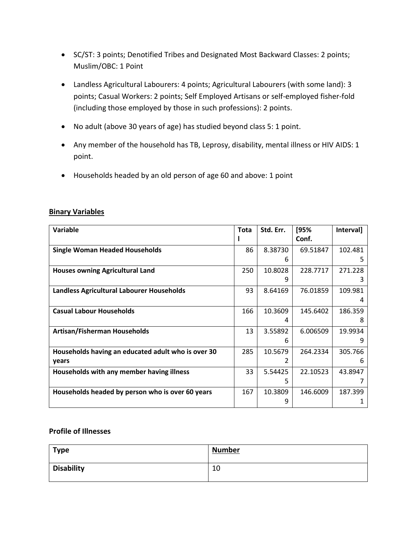- SC/ST: 3 points; Denotified Tribes and Designated Most Backward Classes: 2 points; Muslim/OBC: 1 Point
- Landless Agricultural Labourers: 4 points; Agricultural Labourers (with some land): 3 points; Casual Workers: 2 points; Self Employed Artisans or self-employed fisher-fold (including those employed by those in such professions): 2 points.
- No adult (above 30 years of age) has studied beyond class 5: 1 point.
- Any member of the household has TB, Leprosy, disability, mental illness or HIV AIDS: 1 point.
- Households headed by an old person of age 60 and above: 1 point

| Variable                                           | <b>Tota</b> | Std. Err. | [95%     | Interval] |
|----------------------------------------------------|-------------|-----------|----------|-----------|
|                                                    |             |           | Conf.    |           |
| <b>Single Woman Headed Households</b>              | 86          | 8.38730   | 69.51847 | 102.481   |
|                                                    |             | h         |          |           |
| <b>Houses owning Agricultural Land</b>             | 250         | 10.8028   | 228.7717 | 271.228   |
|                                                    |             |           |          |           |
| Landless Agricultural Labourer Households          | 93          | 8.64169   | 76.01859 | 109.981   |
|                                                    |             |           |          | 4         |
| <b>Casual Labour Households</b>                    | 166         | 10.3609   | 145.6402 | 186.359   |
|                                                    |             | 4         |          | 8         |
| <b>Artisan/Fisherman Households</b>                | 13          | 3.55892   | 6.006509 | 19.9934   |
|                                                    |             | 6         |          | g         |
| Households having an educated adult who is over 30 | 285         | 10.5679   | 264.2334 | 305.766   |
| years                                              |             |           |          | 6         |
| Households with any member having illness          | 33          | 5.54425   | 22.10523 | 43.8947   |
|                                                    |             | 5         |          |           |
| Households headed by person who is over 60 years   | 167         | 10.3809   | 146.6009 | 187.399   |
|                                                    |             | 9         |          |           |

### **Binary Variables**

#### **Profile of Illnesses**

| <b>Type</b>       | <b>Number</b> |
|-------------------|---------------|
| <b>Disability</b> | 10            |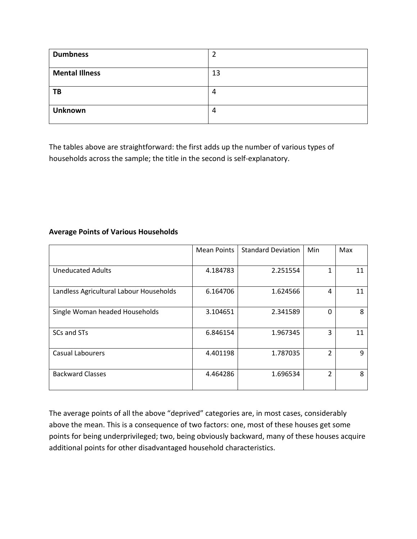| <b>Dumbness</b>       |    |
|-----------------------|----|
| <b>Mental Illness</b> | 13 |
| TB                    | 4  |
| <b>Unknown</b>        | 4  |

The tables above are straightforward: the first adds up the number of various types of households across the sample; the title in the second is self-explanatory.

### **Average Points of Various Households**

|                                         | <b>Mean Points</b> | <b>Standard Deviation</b> | Min            | Max |
|-----------------------------------------|--------------------|---------------------------|----------------|-----|
| <b>Uneducated Adults</b>                | 4.184783           | 2.251554                  | 1              | 11  |
| Landless Agricultural Labour Households | 6.164706           | 1.624566                  | 4              | 11  |
| Single Woman headed Households          | 3.104651           | 2.341589                  | $\Omega$       | 8   |
| SCs and STs                             | 6.846154           | 1.967345                  | 3              | 11  |
| <b>Casual Labourers</b>                 | 4.401198           | 1.787035                  | $\overline{2}$ | 9   |
| <b>Backward Classes</b>                 | 4.464286           | 1.696534                  | 2              | 8   |

The average points of all the above "deprived" categories are, in most cases, considerably above the mean. This is a consequence of two factors: one, most of these houses get some points for being underprivileged; two, being obviously backward, many of these houses acquire additional points for other disadvantaged household characteristics.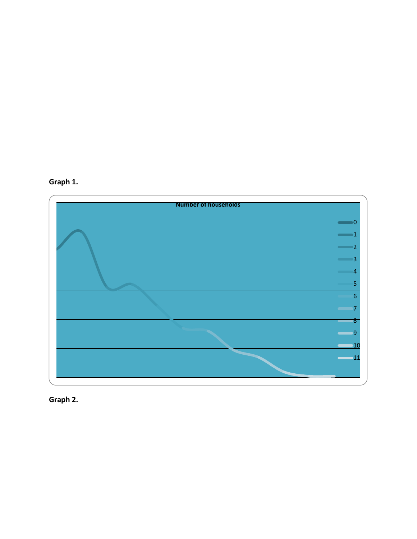



**Graph 2.**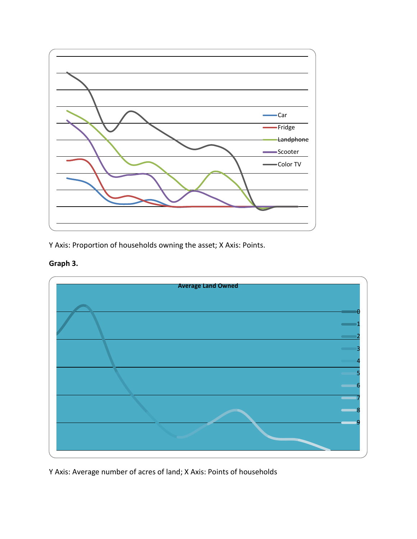

Y Axis: Proportion of households owning the asset; X Axis: Points.

# **Graph 3.**



Y Axis: Average number of acres of land; X Axis: Points of households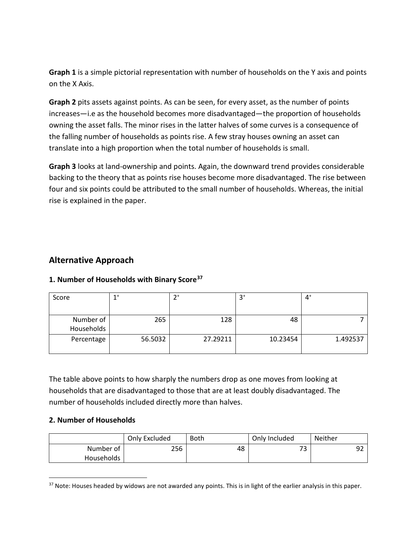**Graph 1** is a simple pictorial representation with number of households on the Y axis and points on the X Axis.

**Graph 2** pits assets against points. As can be seen, for every asset, as the number of points increases—i.e as the household becomes more disadvantaged—the proportion of households owning the asset falls. The minor rises in the latter halves of some curves is a consequence of the falling number of households as points rise. A few stray houses owning an asset can translate into a high proportion when the total number of households is small.

**Graph 3** looks at land-ownership and points. Again, the downward trend provides considerable backing to the theory that as points rise houses become more disadvantaged. The rise between four and six points could be attributed to the small number of households. Whereas, the initial rise is explained in the paper.

# **Alternative Approach**

# **1. Number of Households with Binary Score[37](#page-31-0)**

| Score      |         | ำ+       |          | $\mathbf{4}$ |
|------------|---------|----------|----------|--------------|
|            |         |          |          |              |
| Number of  | 265     | 128      | 48       |              |
| Households |         |          |          |              |
| Percentage | 56.5032 | 27.29211 | 10.23454 | 1.492537     |
|            |         |          |          |              |

The table above points to how sharply the numbers drop as one moves from looking at households that are disadvantaged to those that are at least doubly disadvantaged. The number of households included directly more than halves.

### **2. Number of Households**

|            | Only Excluded | Both | Only Included | Neither |
|------------|---------------|------|---------------|---------|
| Number of  | 256           | 48   | רי<br>ັ       | 92      |
| Households |               |      |               |         |

<span id="page-31-0"></span> $37$  Note: Houses headed by widows are not awarded any points. This is in light of the earlier analysis in this paper.